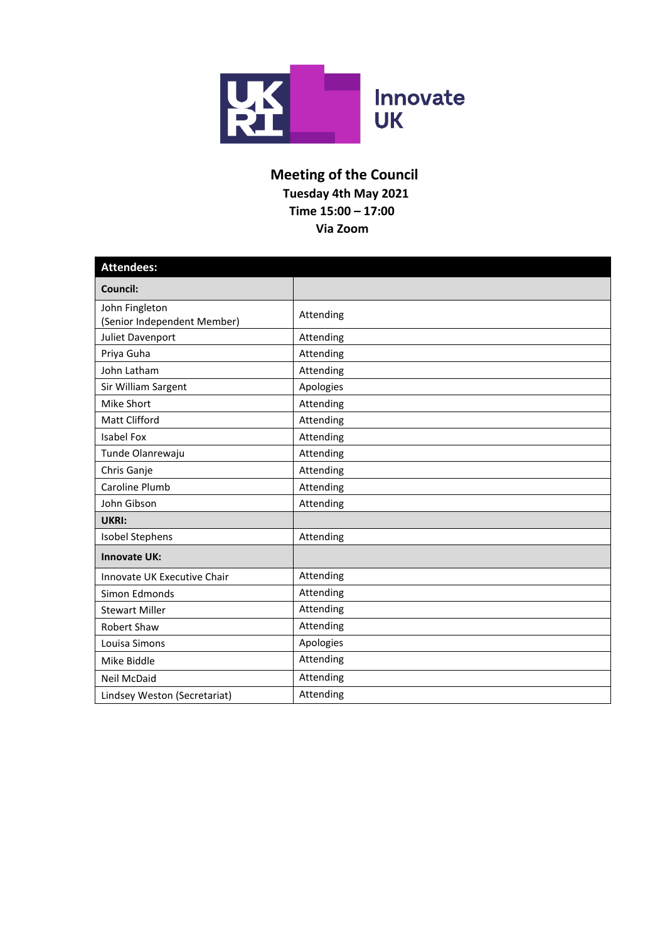

## **Meeting of the Council Tuesday 4th May 2021 Time 15:00 – 17:00 Via Zoom**

| <b>Attendees:</b>                             |           |  |  |
|-----------------------------------------------|-----------|--|--|
| Council:                                      |           |  |  |
| John Fingleton<br>(Senior Independent Member) | Attending |  |  |
| Juliet Davenport                              | Attending |  |  |
| Priya Guha                                    | Attending |  |  |
| John Latham                                   | Attending |  |  |
| Sir William Sargent                           | Apologies |  |  |
| <b>Mike Short</b>                             | Attending |  |  |
| <b>Matt Clifford</b>                          | Attending |  |  |
| <b>Isabel Fox</b>                             | Attending |  |  |
| Tunde Olanrewaju                              | Attending |  |  |
| Chris Ganje                                   | Attending |  |  |
| Caroline Plumb                                | Attending |  |  |
| John Gibson                                   | Attending |  |  |
| UKRI:                                         |           |  |  |
| Isobel Stephens                               | Attending |  |  |
| <b>Innovate UK:</b>                           |           |  |  |
| Innovate UK Executive Chair                   | Attending |  |  |
| Simon Edmonds                                 | Attending |  |  |
| <b>Stewart Miller</b>                         | Attending |  |  |
| <b>Robert Shaw</b>                            | Attending |  |  |
| Louisa Simons                                 | Apologies |  |  |
| Mike Biddle                                   | Attending |  |  |
| <b>Neil McDaid</b>                            | Attending |  |  |
| Lindsey Weston (Secretariat)                  | Attending |  |  |